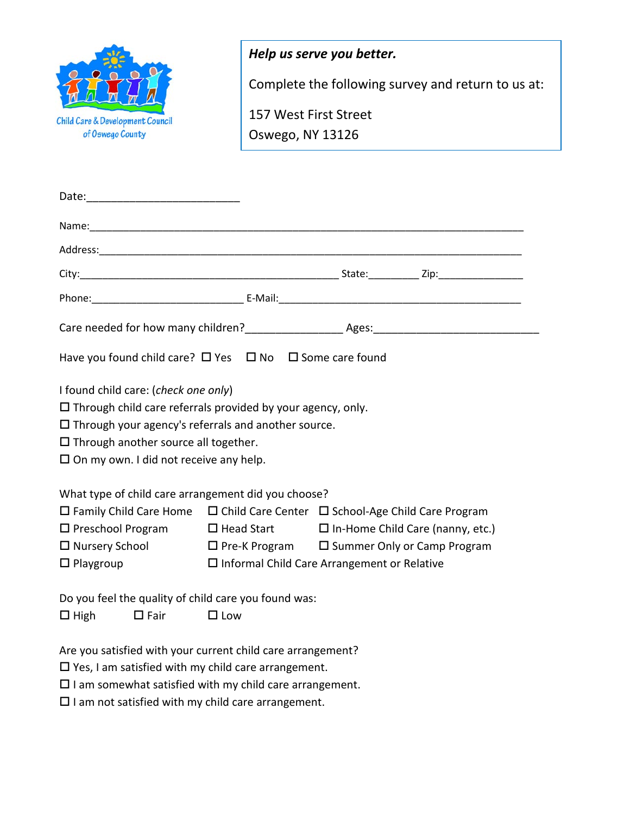|                                  | Help us serve you better.                          |
|----------------------------------|----------------------------------------------------|
|                                  | Complete the following survey and return to us at: |
| Child Care & Development Council | 157 West First Street                              |
| of Oswego County                 | Oswego, NY 13126                                   |

| Have you found child care? $\Box$ Yes $\Box$ No $\Box$ Some care found                                                                                                                                                                                                                 |                                                       |  |  |
|----------------------------------------------------------------------------------------------------------------------------------------------------------------------------------------------------------------------------------------------------------------------------------------|-------------------------------------------------------|--|--|
| I found child care: (check one only)<br>$\Box$ Through child care referrals provided by your agency, only.<br>$\Box$ Through your agency's referrals and another source.<br>$\Box$ Through another source all together.<br>$\square$ On my own. I did not receive any help.            |                                                       |  |  |
| What type of child care arrangement did you choose?                                                                                                                                                                                                                                    |                                                       |  |  |
| $\Box$ Family Child Care Home $\Box$ Child Care Center $\Box$ School-Age Child Care Program<br>$\Box$ Preschool Program $\Box$ Head Start $\Box$ In-Home Child Care (nanny, etc.)<br>$\Box$ Nursery School $\Box$ Pre-K Program $\Box$ Summer Only or Camp Program<br>$\Box$ Playgroup | $\square$ Informal Child Care Arrangement or Relative |  |  |
| Do you feel the quality of child care you found was:                                                                                                                                                                                                                                   |                                                       |  |  |
| $\Box$ High<br>$\square$ Fair                                                                                                                                                                                                                                                          | $\Box$ Low                                            |  |  |
| Are you satisfied with your current child care arrangement?<br>$\square$ Yes, I am satisfied with my child care arrangement.<br>and the company of the property from the first state of the first property of the company of the company of the                                        |                                                       |  |  |

 $\square$  I am somewhat satisfied with my child care arrangement.

 $\square$  I am not satisfied with my child care arrangement.